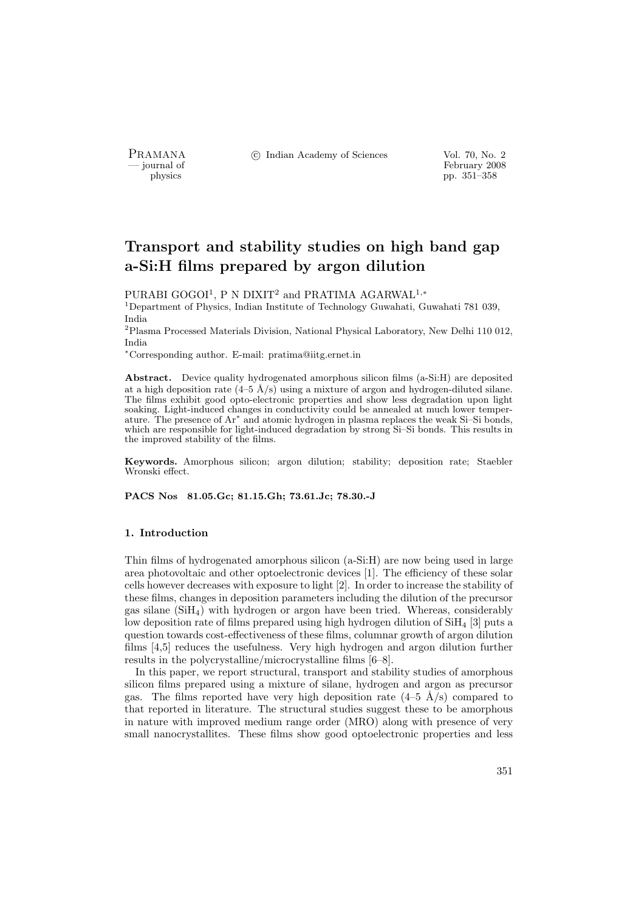PRAMANA °c Indian Academy of Sciences Vol. 70, No. 2

physics<br>
and the state of February 2008<br>
pp. 351–358<br>
pp. 351–358 pp. 351–358

# Transport and stability studies on high band gap a-Si:H films prepared by argon dilution

PURABI GOGOI<sup>1</sup>, P N DIXIT<sup>2</sup> and PRATIMA AGARWAL<sup>1,∗</sup>

<sup>1</sup>Department of Physics, Indian Institute of Technology Guwahati, Guwahati 781 039, India

<sup>2</sup>Plasma Processed Materials Division, National Physical Laboratory, New Delhi 110 012, India

<sup>∗</sup>Corresponding author. E-mail: pratima@iitg.ernet.in

Abstract. Device quality hydrogenated amorphous silicon films (a-Si:H) are deposited at a high deposition rate  $(4-5 \text{ Å/s})$  using a mixture of argon and hydrogen-diluted silane. The films exhibit good opto-electronic properties and show less degradation upon light soaking. Light-induced changes in conductivity could be annealed at much lower temperature. The presence of Ar<sup>∗</sup> and atomic hydrogen in plasma replaces the weak Si–Si bonds, which are responsible for light-induced degradation by strong Si–Si bonds. This results in the improved stability of the films.

Keywords. Amorphous silicon; argon dilution; stability; deposition rate; Staebler Wronski effect.

PACS Nos 81.05.Gc; 81.15.Gh; 73.61.Jc; 78.30.-J

## 1. Introduction

Thin films of hydrogenated amorphous silicon (a-Si:H) are now being used in large area photovoltaic and other optoelectronic devices [1]. The efficiency of these solar cells however decreases with exposure to light [2]. In order to increase the stability of these films, changes in deposition parameters including the dilution of the precursor gas silane (SiH4) with hydrogen or argon have been tried. Whereas, considerably low deposition rate of films prepared using high hydrogen dilution of  $SiH<sub>4</sub>$  [3] puts a question towards cost-effectiveness of these films, columnar growth of argon dilution films [4,5] reduces the usefulness. Very high hydrogen and argon dilution further results in the polycrystalline/microcrystalline films [6–8].

In this paper, we report structural, transport and stability studies of amorphous silicon films prepared using a mixture of silane, hydrogen and argon as precursor gas. The films reported have very high deposition rate  $(4-5 \text{ Å/s})$  compared to that reported in literature. The structural studies suggest these to be amorphous in nature with improved medium range order (MRO) along with presence of very small nanocrystallites. These films show good optoelectronic properties and less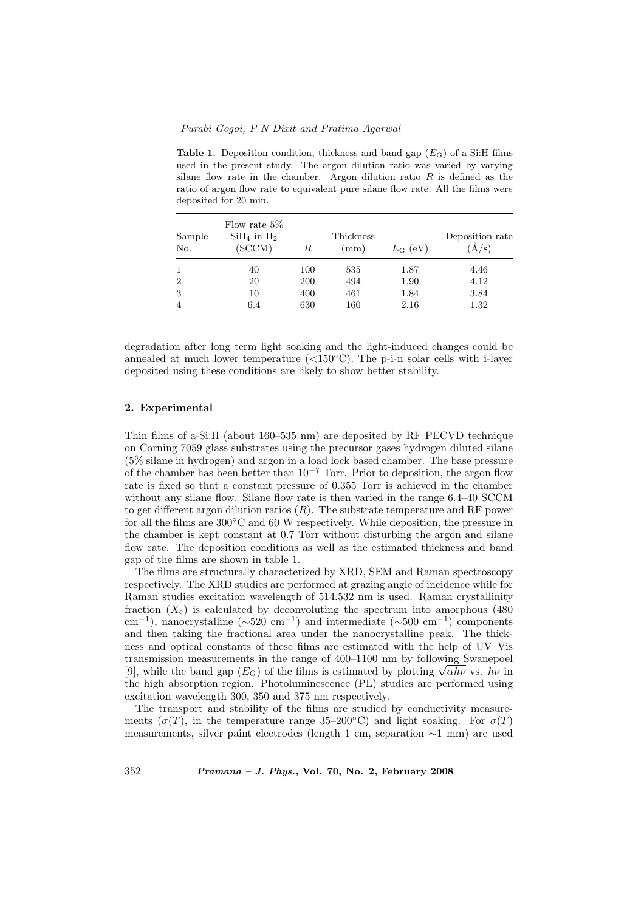**Table 1.** Deposition condition, thickness and band gap  $(E_G)$  of a-Si:H films used in the present study. The argon dilution ratio was varied by varying silane flow rate in the chamber. Argon dilution ratio  $R$  is defined as the ratio of argon flow rate to equivalent pure silane flow rate. All the films were deposited for 20 min.

| Sample<br>No.  | Flow rate $5\%$<br>$SiH4$ in $H2$<br>(SCCM) | R   | Thickness<br>(mm) | $E_{\rm G}$ (eV) | Deposition rate<br>$(\AA/\mathrm{s})$ |
|----------------|---------------------------------------------|-----|-------------------|------------------|---------------------------------------|
|                | 40                                          | 100 | 535               | 1.87             | 4.46                                  |
| $\overline{2}$ | 20                                          | 200 | 494               | 1.90             | 4.12                                  |
| 3              | 10                                          | 400 | 461               | 1.84             | 3.84                                  |
| 4              | 6.4                                         | 630 | 160               | 2.16             | 1.32                                  |

degradation after long term light soaking and the light-induced changes could be annealed at much lower temperature  $(<150°C$ ). The p-i-n solar cells with i-layer deposited using these conditions are likely to show better stability.

# 2. Experimental

Thin films of a-Si:H (about 160–535 nm) are deposited by RF PECVD technique on Corning 7059 glass substrates using the precursor gases hydrogen diluted silane (5% silane in hydrogen) and argon in a load lock based chamber. The base pressure of the chamber has been better than  $10^{-7}$  Torr. Prior to deposition, the argon flow rate is fixed so that a constant pressure of 0.355 Torr is achieved in the chamber without any silane flow. Silane flow rate is then varied in the range  $6.4-40$  SCCM to get different argon dilution ratios  $(R)$ . The substrate temperature and RF power for all the films are 300◦C and 60 W respectively. While deposition, the pressure in the chamber is kept constant at 0.7 Torr without disturbing the argon and silane flow rate. The deposition conditions as well as the estimated thickness and band gap of the films are shown in table 1.

The films are structurally characterized by XRD, SEM and Raman spectroscopy respectively. The XRD studies are performed at grazing angle of incidence while for Raman studies excitation wavelength of 514.532 nm is used. Raman crystallinity fraction  $(X_c)$  is calculated by deconvoluting the spectrum into amorphous (480) cm<sup>-1</sup>), nanocrystalline ( $\sim 520$  cm<sup>-1</sup>) and intermediate ( $\sim 500$  cm<sup>-1</sup>) components and then taking the fractional area under the nanocrystalline peak. The thickness and optical constants of these films are estimated with the help of UV–Vis transmission measurements in the range of 400–1100 nm by following Swanepoel transmission measurements in the range of 400–1100 nm by following Swanepoel [9], while the band gap ( $E_G$ ) of the films is estimated by plotting  $\sqrt{\alpha h \nu}$  vs.  $h \nu$  in the high absorption region. Photoluminescence (PL) studies are performed using excitation wavelength 300, 350 and 375 nm respectively.

The transport and stability of the films are studied by conductivity measurements ( $\sigma(T)$ , in the temperature range 35–200°C) and light soaking. For  $\sigma(T)$ measurements, silver paint electrodes (length 1 cm, separation ∼1 mm) are used

352 Pramana – J. Phys., Vol. 70, No. 2, February 2008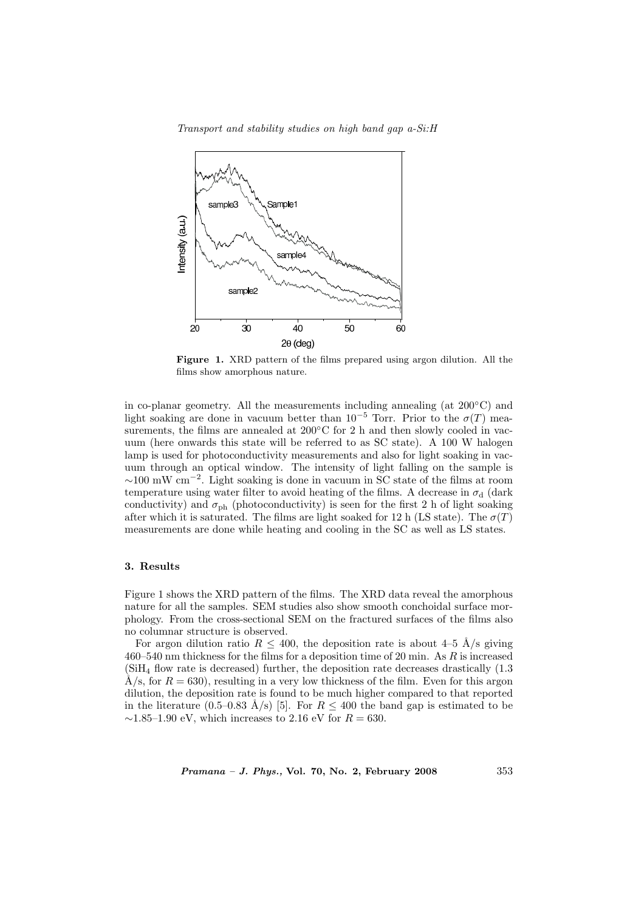Transport and stability studies on high band gap a-Si:H



Figure 1. XRD pattern of the films prepared using argon dilution. All the films show amorphous nature.

in co-planar geometry. All the measurements including annealing (at 200◦C) and light soaking are done in vacuum better than 10<sup>-5</sup> Torr. Prior to the  $\sigma(T)$  measurements, the films are annealed at 200°C for 2 h and then slowly cooled in vacuum (here onwards this state will be referred to as SC state). A 100 W halogen lamp is used for photoconductivity measurements and also for light soaking in vacuum through an optical window. The intensity of light falling on the sample is ∼100 mW cm<sup>−</sup><sup>2</sup> . Light soaking is done in vacuum in SC state of the films at room temperature using water filter to avoid heating of the films. A decrease in  $\sigma_d$  (dark conductivity) and  $\sigma_{ph}$  (photoconductivity) is seen for the first 2 h of light soaking after which it is saturated. The films are light soaked for 12 h (LS state). The  $\sigma(T)$ measurements are done while heating and cooling in the SC as well as LS states.

# 3. Results

Figure 1 shows the XRD pattern of the films. The XRD data reveal the amorphous nature for all the samples. SEM studies also show smooth conchoidal surface morphology. From the cross-sectional SEM on the fractured surfaces of the films also no columnar structure is observed.

For argon dilution ratio  $R \leq 400$ , the deposition rate is about 4–5 Å/s giving  $460-540$  nm thickness for the films for a deposition time of 20 min. As R is increased (SiH<sup>4</sup> flow rate is decreased) further, the deposition rate decreases drastically (1.3 Å/s, for  $R = 630$ , resulting in a very low thickness of the film. Even for this argon dilution, the deposition rate is found to be much higher compared to that reported in the literature (0.5–0.83 Å/s) [5]. For  $R \leq 400$  the band gap is estimated to be  $\sim$ 1.85–1.90 eV, which increases to 2.16 eV for  $R = 630$ .

*Pramana – J. Phys.*, Vol. 70, No. 2, February 2008  $353$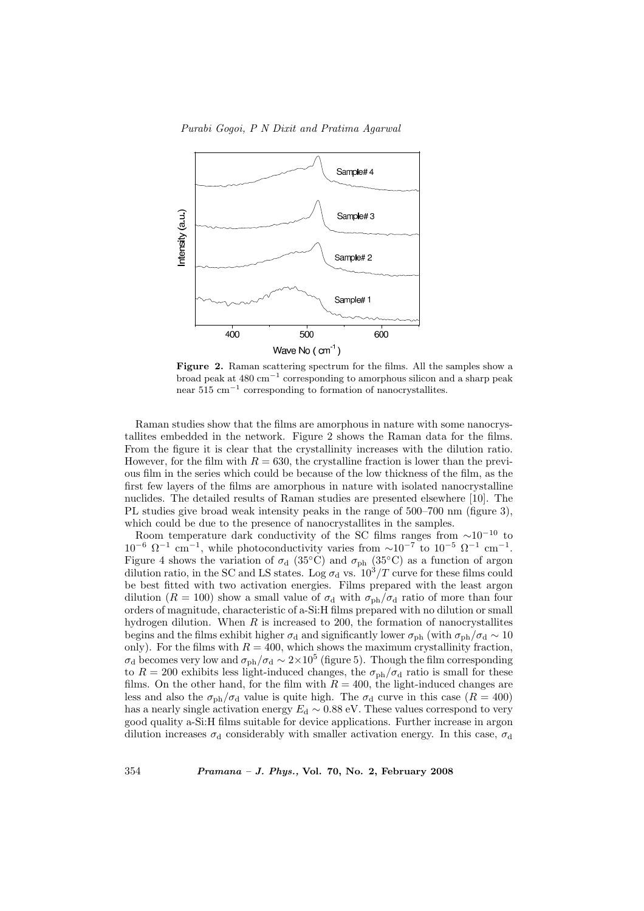

Figure 2. Raman scattering spectrum for the films. All the samples show a broad peak at  $480 \text{ cm}^{-1}$  corresponding to amorphous silicon and a sharp peak near  $515 \text{ cm}^{-1}$  corresponding to formation of nanocrystallites.

Raman studies show that the films are amorphous in nature with some nanocrystallites embedded in the network. Figure 2 shows the Raman data for the films. From the figure it is clear that the crystallinity increases with the dilution ratio. However, for the film with  $R = 630$ , the crystalline fraction is lower than the previous film in the series which could be because of the low thickness of the film, as the first few layers of the films are amorphous in nature with isolated nanocrystalline nuclides. The detailed results of Raman studies are presented elsewhere [10]. The PL studies give broad weak intensity peaks in the range of 500–700 nm (figure 3), which could be due to the presence of nanocrystallites in the samples.

Room temperature dark conductivity of the SC films ranges from  $\sim 10^{-10}$  to  $10^{-6} \Omega^{-1}$  cm<sup>-1</sup>, while photoconductivity varies from  $\sim 10^{-7}$  to  $10^{-5} \Omega^{-1}$  cm<sup>-1</sup>. Figure 4 shows the variation of  $\sigma_d$  (35°C) and  $\sigma_{ph}$  (35°C) as a function of argon dilution ratio, in the SC and LS states. Log  $\sigma_d$  vs.  $10^3/T$  curve for these films could be best fitted with two activation energies. Films prepared with the least argon dilution ( $R = 100$ ) show a small value of  $\sigma_d$  with  $\sigma_{ph}/\sigma_d$  ratio of more than four orders of magnitude, characteristic of a-Si:H films prepared with no dilution or small hydrogen dilution. When  $R$  is increased to 200, the formation of nanocrystallites begins and the films exhibit higher  $\sigma_d$  and significantly lower  $\sigma_{ph}$  (with  $\sigma_{ph}/\sigma_d \sim 10$ only). For the films with  $R = 400$ , which shows the maximum crystallinity fraction,  $\sigma_d$  becomes very low and  $\sigma_{ph}/\sigma_d \sim 2 \times 10^5$  (figure 5). Though the film corresponding to  $R = 200$  exhibits less light-induced changes, the  $\sigma_{\rm ph}/\sigma_{\rm d}$  ratio is small for these films. On the other hand, for the film with  $R = 400$ , the light-induced changes are less and also the  $\sigma_{\rm ph}/\sigma_{\rm d}$  value is quite high. The  $\sigma_{\rm d}$  curve in this case ( $R = 400$ ) has a nearly single activation energy  $E_d \sim 0.88 \text{ eV}$ . These values correspond to very good quality a-Si:H films suitable for device applications. Further increase in argon dilution increases  $\sigma_d$  considerably with smaller activation energy. In this case,  $\sigma_d$ 

354 Pramana – J. Phys., Vol. 70, No. 2, February 2008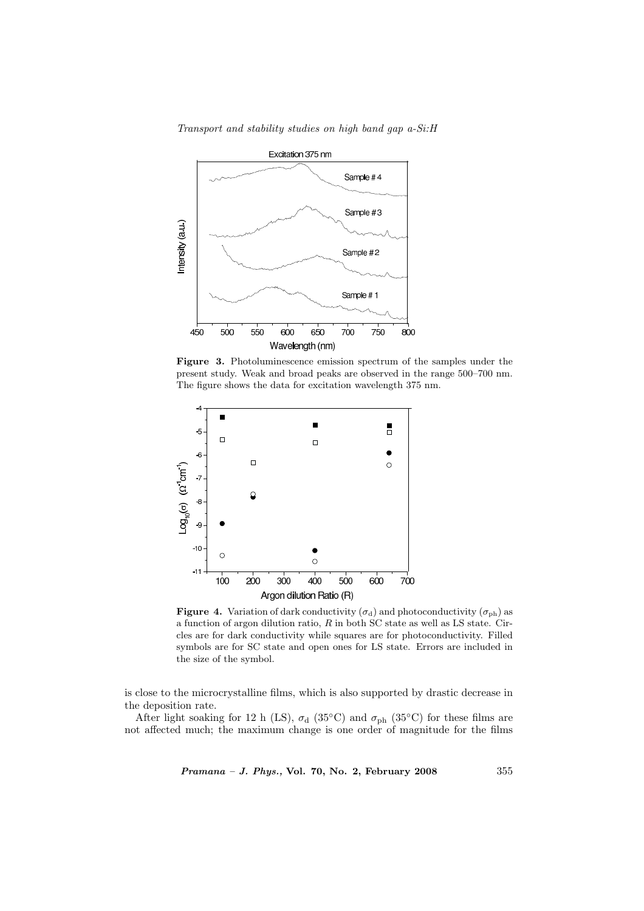

Transport and stability studies on high band gap a-Si:H

Figure 3. Photoluminescence emission spectrum of the samples under the present study. Weak and broad peaks are observed in the range 500–700 nm. The figure shows the data for excitation wavelength 375 nm.



**Figure 4.** Variation of dark conductivity  $(\sigma_d)$  and photoconductivity  $(\sigma_{ph})$  as a function of argon dilution ratio,  $R$  in both SC state as well as LS state. Circles are for dark conductivity while squares are for photoconductivity. Filled symbols are for SC state and open ones for LS state. Errors are included in the size of the symbol.

is close to the microcrystalline films, which is also supported by drastic decrease in the deposition rate.

After light soaking for 12 h (LS),  $\sigma_d$  (35°C) and  $\sigma_{ph}$  (35°C) for these films are not affected much; the maximum change is one order of magnitude for the films

Pramana – J. Phys., Vol. 70, No. 2, February 2008 355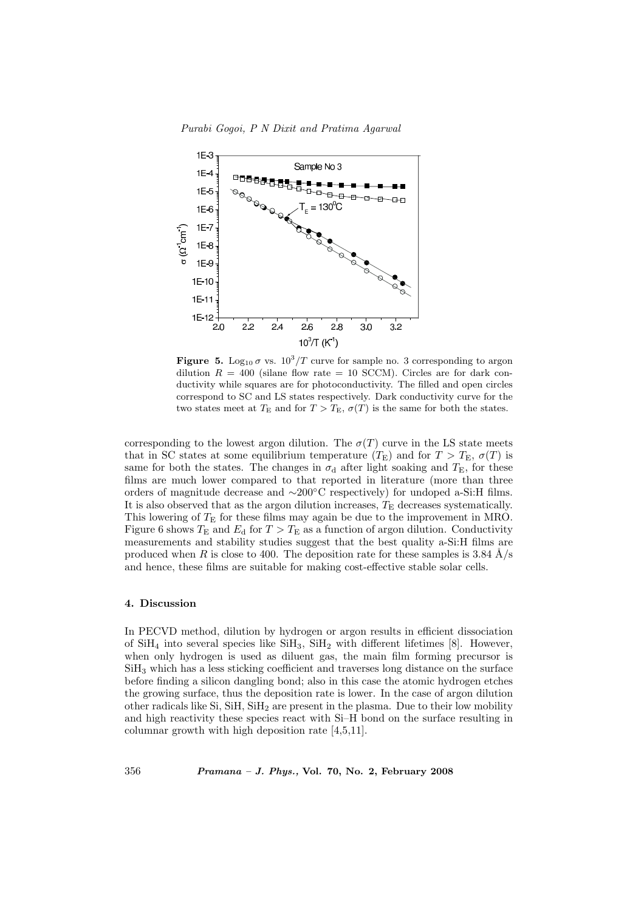

**Figure 5.** Log<sub>10</sub>  $\sigma$  vs.  $10^3/T$  curve for sample no. 3 corresponding to argon dilution  $R = 400$  (silane flow rate = 10 SCCM). Circles are for dark conductivity while squares are for photoconductivity. The filled and open circles correspond to SC and LS states respectively. Dark conductivity curve for the two states meet at  $T_{\rm E}$  and for  $T > T_{\rm E}$ ,  $\sigma(T)$  is the same for both the states.

corresponding to the lowest argon dilution. The  $\sigma(T)$  curve in the LS state meets that in SC states at some equilibrium temperature  $(T_{\rm E})$  and for  $T > T_{\rm E}$ ,  $\sigma(T)$  is same for both the states. The changes in  $\sigma_d$  after light soaking and  $T_E$ , for these films are much lower compared to that reported in literature (more than three orders of magnitude decrease and ∼200◦C respectively) for undoped a-Si:H films. It is also observed that as the argon dilution increases,  $T_{\rm E}$  decreases systematically. This lowering of  $T<sub>E</sub>$  for these films may again be due to the improvement in MRO. Figure 6 shows  $T_{\rm E}$  and  $E_{\rm d}$  for  $T > T_{\rm E}$  as a function of argon dilution. Conductivity measurements and stability studies suggest that the best quality a-Si:H films are produced when R is close to 400. The deposition rate for these samples is 3.84  $\AA$ /s and hence, these films are suitable for making cost-effective stable solar cells.

# 4. Discussion

In PECVD method, dilution by hydrogen or argon results in efficient dissociation of  $SiH_4$  into several species like  $SiH_3$ ,  $SiH_2$  with different lifetimes [8]. However, when only hydrogen is used as diluent gas, the main film forming precursor is SiH<sup>3</sup> which has a less sticking coefficient and traverses long distance on the surface before finding a silicon dangling bond; also in this case the atomic hydrogen etches the growing surface, thus the deposition rate is lower. In the case of argon dilution other radicals like Si,  $SiH$ ,  $SiH_2$  are present in the plasma. Due to their low mobility and high reactivity these species react with Si–H bond on the surface resulting in columnar growth with high deposition rate [4,5,11].

356 Pramana – J. Phys., Vol. 70, No. 2, February 2008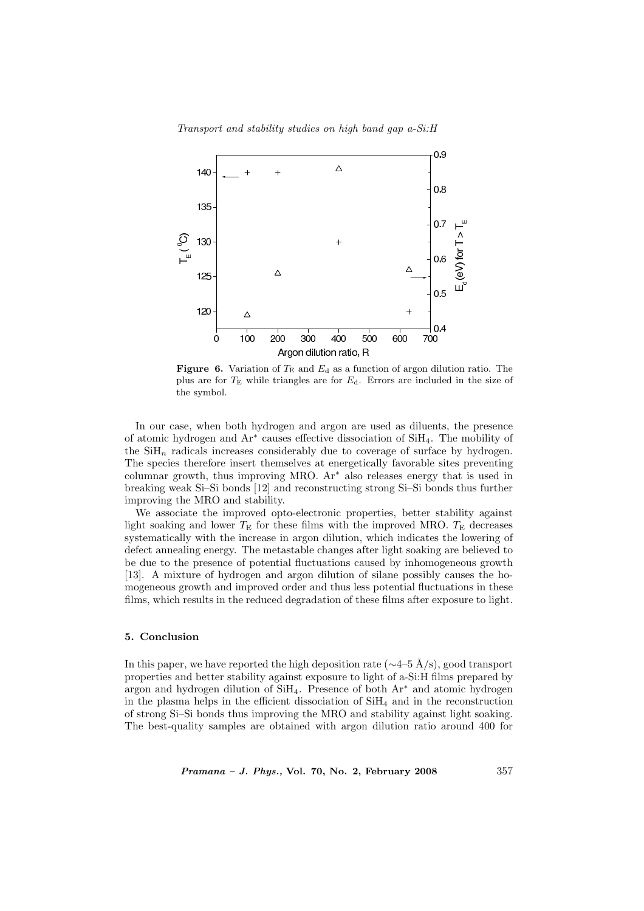

**Figure 6.** Variation of  $T_E$  and  $E_d$  as a function of argon dilution ratio. The plus are for  $T_{\rm E}$  while triangles are for  $E_{\rm d}$ . Errors are included in the size of the symbol.

In our case, when both hydrogen and argon are used as diluents, the presence of atomic hydrogen and Ar<sup>∗</sup> causes effective dissociation of SiH4. The mobility of the  $\text{SiH}_n$  radicals increases considerably due to coverage of surface by hydrogen. The species therefore insert themselves at energetically favorable sites preventing columnar growth, thus improving MRO. Ar<sup>∗</sup> also releases energy that is used in breaking weak Si–Si bonds [12] and reconstructing strong Si–Si bonds thus further improving the MRO and stability.

We associate the improved opto-electronic properties, better stability against light soaking and lower  $T_{\rm E}$  for these films with the improved MRO.  $T_{\rm E}$  decreases systematically with the increase in argon dilution, which indicates the lowering of defect annealing energy. The metastable changes after light soaking are believed to be due to the presence of potential fluctuations caused by inhomogeneous growth [13]. A mixture of hydrogen and argon dilution of silane possibly causes the homogeneous growth and improved order and thus less potential fluctuations in these films, which results in the reduced degradation of these films after exposure to light.

### 5. Conclusion

In this paper, we have reported the high deposition rate ( $\sim$ 4–5 Å/s), good transport properties and better stability against exposure to light of a-Si:H films prepared by argon and hydrogen dilution of  $SiH<sub>4</sub>$ . Presence of both  $Ar<sup>*</sup>$  and atomic hydrogen in the plasma helps in the efficient dissociation of  $SiH<sub>4</sub>$  and in the reconstruction of strong Si–Si bonds thus improving the MRO and stability against light soaking. The best-quality samples are obtained with argon dilution ratio around 400 for

*Pramana – J. Phys.*, Vol. 70, No. 2, February 2008  $357$